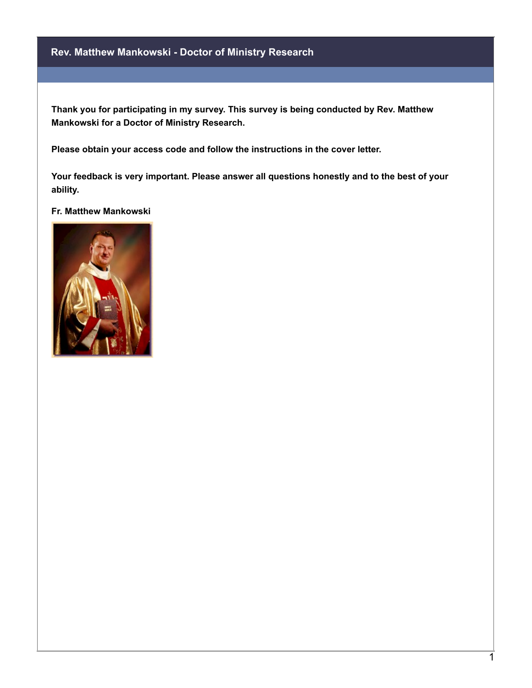## **Rev. Matthew Mankowski - Doctor of Ministry Research**

**Thank you for participating in my survey. This survey is being conducted by Rev. Matthew Mankowski for a Doctor of Ministry Research.**

**Please obtain your access code and follow the instructions in the cover letter.**

**Your feedback is very important. Please answer all questions honestly and to the best of your ability.**

## **Fr. Matthew Mankowski**

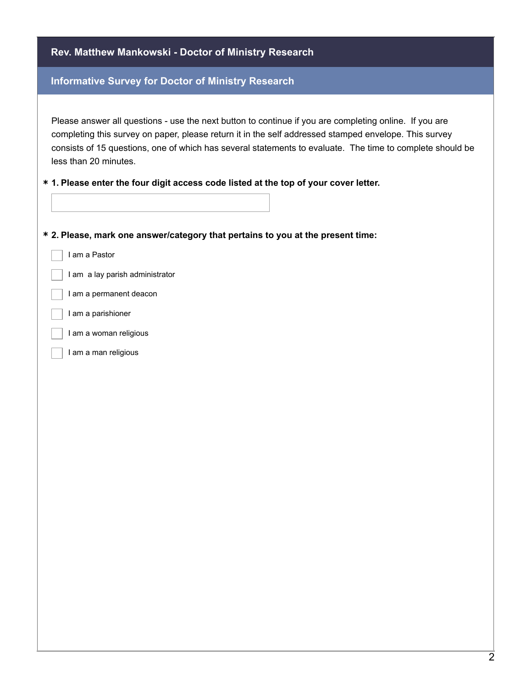| Rev. Matthew Mankowski - Doctor of Ministry Research                                                                                                                                                                                                                                                                                                  |
|-------------------------------------------------------------------------------------------------------------------------------------------------------------------------------------------------------------------------------------------------------------------------------------------------------------------------------------------------------|
| <b>Informative Survey for Doctor of Ministry Research</b>                                                                                                                                                                                                                                                                                             |
| Please answer all questions - use the next button to continue if you are completing online. If you are<br>completing this survey on paper, please return it in the self addressed stamped envelope. This survey<br>consists of 15 questions, one of which has several statements to evaluate. The time to complete should be<br>less than 20 minutes. |
| * 1. Please enter the four digit access code listed at the top of your cover letter.                                                                                                                                                                                                                                                                  |
| * 2. Please, mark one answer/category that pertains to you at the present time:                                                                                                                                                                                                                                                                       |
| I am a Pastor                                                                                                                                                                                                                                                                                                                                         |
| I am a lay parish administrator                                                                                                                                                                                                                                                                                                                       |
| I am a permanent deacon                                                                                                                                                                                                                                                                                                                               |
| I am a parishioner                                                                                                                                                                                                                                                                                                                                    |
| I am a woman religious                                                                                                                                                                                                                                                                                                                                |
| I am a man religious                                                                                                                                                                                                                                                                                                                                  |
|                                                                                                                                                                                                                                                                                                                                                       |
|                                                                                                                                                                                                                                                                                                                                                       |
|                                                                                                                                                                                                                                                                                                                                                       |
|                                                                                                                                                                                                                                                                                                                                                       |
|                                                                                                                                                                                                                                                                                                                                                       |
|                                                                                                                                                                                                                                                                                                                                                       |
|                                                                                                                                                                                                                                                                                                                                                       |
|                                                                                                                                                                                                                                                                                                                                                       |
|                                                                                                                                                                                                                                                                                                                                                       |
|                                                                                                                                                                                                                                                                                                                                                       |
|                                                                                                                                                                                                                                                                                                                                                       |
|                                                                                                                                                                                                                                                                                                                                                       |
|                                                                                                                                                                                                                                                                                                                                                       |
|                                                                                                                                                                                                                                                                                                                                                       |
|                                                                                                                                                                                                                                                                                                                                                       |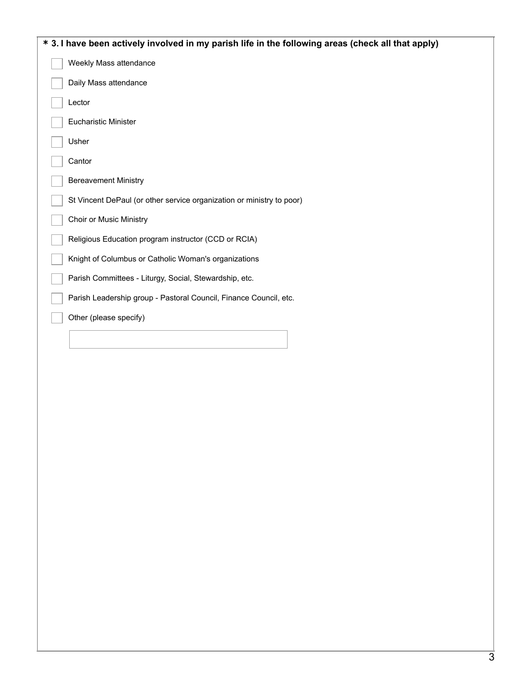| * 3. I have been actively involved in my parish life in the following areas (check all that apply) |
|----------------------------------------------------------------------------------------------------|
| Weekly Mass attendance                                                                             |
| Daily Mass attendance                                                                              |
| Lector                                                                                             |
| <b>Eucharistic Minister</b>                                                                        |
| Usher                                                                                              |
| Cantor                                                                                             |
| <b>Bereavement Ministry</b>                                                                        |
| St Vincent DePaul (or other service organization or ministry to poor)                              |
| <b>Choir or Music Ministry</b>                                                                     |
| Religious Education program instructor (CCD or RCIA)                                               |
| Knight of Columbus or Catholic Woman's organizations                                               |
| Parish Committees - Liturgy, Social, Stewardship, etc.                                             |
| Parish Leadership group - Pastoral Council, Finance Council, etc.                                  |
| Other (please specify)                                                                             |
|                                                                                                    |
|                                                                                                    |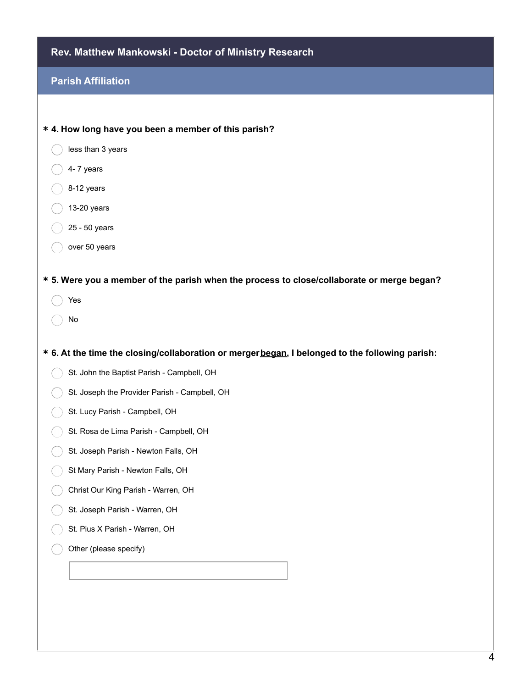| Rev. Matthew Mankowski - Doctor of Ministry Research                                              |
|---------------------------------------------------------------------------------------------------|
| <b>Parish Affiliation</b>                                                                         |
|                                                                                                   |
| * 4. How long have you been a member of this parish?                                              |
| less than 3 years                                                                                 |
| 4-7 years                                                                                         |
| 8-12 years                                                                                        |
| 13-20 years                                                                                       |
| 25 - 50 years                                                                                     |
| over 50 years                                                                                     |
| * 5. Were you a member of the parish when the process to close/collaborate or merge began?<br>Yes |
| No                                                                                                |
| * 6. At the time the closing/collaboration or mergerbegan, I belonged to the following parish:    |
| St. John the Baptist Parish - Campbell, OH                                                        |
| St. Joseph the Provider Parish - Campbell, OH                                                     |
| St. Lucy Parish - Campbell, OH                                                                    |
| St. Rosa de Lima Parish - Campbell, OH                                                            |
| St. Joseph Parish - Newton Falls, OH                                                              |
| St Mary Parish - Newton Falls, OH                                                                 |
| Christ Our King Parish - Warren, OH                                                               |
| St. Joseph Parish - Warren, OH                                                                    |
| St. Pius X Parish - Warren, OH                                                                    |
| Other (please specify)                                                                            |
|                                                                                                   |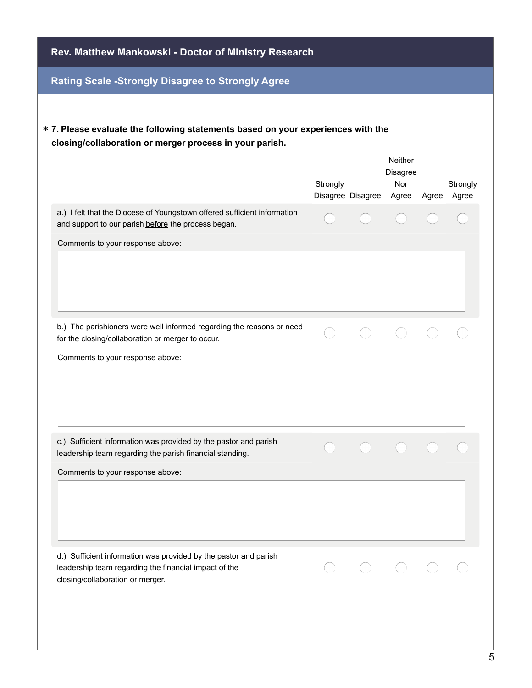| Rev. Matthew Mankowski - Doctor of Ministry Research     |  |                       |                                                                                  |                                              |  |  |
|----------------------------------------------------------|--|-----------------------|----------------------------------------------------------------------------------|----------------------------------------------|--|--|
| <b>Rating Scale -Strongly Disagree to Strongly Agree</b> |  |                       |                                                                                  |                                              |  |  |
| Strongly                                                 |  | <b>Neither</b><br>Nor |                                                                                  | Strongly<br>Agree                            |  |  |
|                                                          |  |                       |                                                                                  |                                              |  |  |
|                                                          |  |                       |                                                                                  |                                              |  |  |
|                                                          |  |                       |                                                                                  |                                              |  |  |
|                                                          |  |                       |                                                                                  |                                              |  |  |
|                                                          |  |                       |                                                                                  |                                              |  |  |
|                                                          |  |                       | * 7. Please evaluate the following statements based on your experiences with the | Disagree<br>Disagree Disagree Agree<br>Agree |  |  |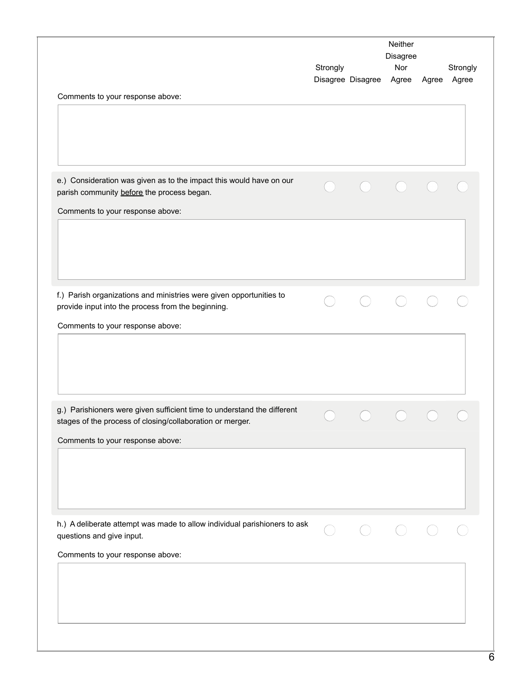|                                                                                                                                                                          | Strongly | Disagree Disagree | Neither<br>Disagree<br>Nor<br>Agree | Agree | Strongly<br>Agree |
|--------------------------------------------------------------------------------------------------------------------------------------------------------------------------|----------|-------------------|-------------------------------------|-------|-------------------|
| Comments to your response above:                                                                                                                                         |          |                   |                                     |       |                   |
| e.) Consideration was given as to the impact this would have on our<br>parish community before the process began.<br>Comments to your response above:                    |          |                   |                                     |       |                   |
|                                                                                                                                                                          |          |                   |                                     |       |                   |
| f.) Parish organizations and ministries were given opportunities to<br>provide input into the process from the beginning.<br>Comments to your response above:            |          |                   |                                     |       |                   |
|                                                                                                                                                                          |          |                   |                                     |       |                   |
| g.) Parishioners were given sufficient time to understand the different<br>stages of the process of closing/collaboration or merger.<br>Comments to your response above: |          |                   |                                     |       |                   |
|                                                                                                                                                                          |          |                   |                                     |       |                   |
| h.) A deliberate attempt was made to allow individual parishioners to ask<br>questions and give input.<br>Comments to your response above:                               |          |                   |                                     |       |                   |
|                                                                                                                                                                          |          |                   |                                     |       |                   |
|                                                                                                                                                                          |          |                   |                                     |       |                   |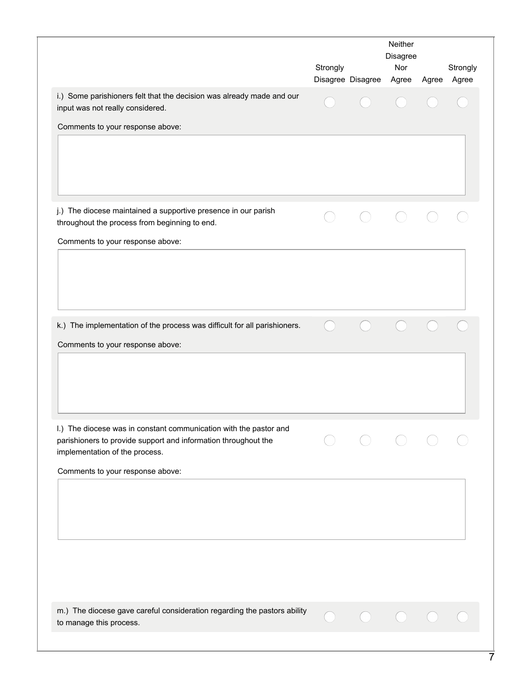|                                                                                                                                                                       | Strongly | Disagree Disagree | Neither<br>Disagree<br>Nor<br>Agree | Agree | Strongly<br>Agree |
|-----------------------------------------------------------------------------------------------------------------------------------------------------------------------|----------|-------------------|-------------------------------------|-------|-------------------|
| i.) Some parishioners felt that the decision was already made and our<br>input was not really considered.                                                             |          |                   |                                     |       |                   |
| Comments to your response above:                                                                                                                                      |          |                   |                                     |       |                   |
| j.) The diocese maintained a supportive presence in our parish<br>throughout the process from beginning to end.<br>Comments to your response above:                   |          |                   |                                     |       |                   |
|                                                                                                                                                                       |          |                   |                                     |       |                   |
| k.) The implementation of the process was difficult for all parishioners.<br>Comments to your response above:                                                         |          |                   |                                     |       |                   |
| I.) The diocese was in constant communication with the pastor and<br>parishioners to provide support and information throughout the<br>implementation of the process. |          |                   |                                     |       |                   |
| Comments to your response above:                                                                                                                                      |          |                   |                                     |       |                   |
| m.) The diocese gave careful consideration regarding the pastors ability                                                                                              |          |                   |                                     |       |                   |
| to manage this process.                                                                                                                                               |          |                   |                                     |       |                   |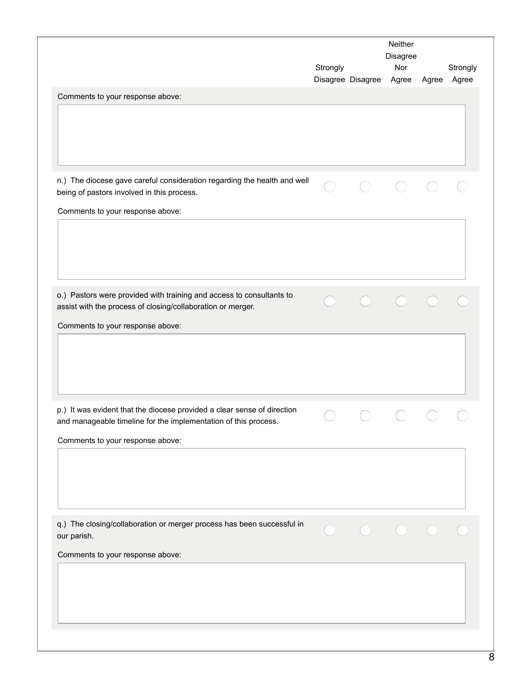|                                                                                                                                            | Strongly | Disagree Disagree | Neither<br>Disagree<br>Nor<br>Agree | Agree | Strongly<br>Agree |
|--------------------------------------------------------------------------------------------------------------------------------------------|----------|-------------------|-------------------------------------|-------|-------------------|
| Comments to your response above:                                                                                                           |          |                   |                                     |       |                   |
|                                                                                                                                            |          |                   |                                     |       |                   |
| n.) The diocese gave careful consideration regarding the health and well<br>being of pastors involved in this process.                     |          |                   |                                     |       |                   |
| Comments to your response above:                                                                                                           |          |                   |                                     |       |                   |
|                                                                                                                                            |          |                   |                                     |       |                   |
| o.) Pastors were provided with training and access to consultants to<br>assist with the process of closing/collaboration or merger.        |          |                   |                                     |       |                   |
| Comments to your response above:                                                                                                           |          |                   |                                     |       |                   |
|                                                                                                                                            |          |                   |                                     |       |                   |
| p.) It was evident that the diocese provided a clear sense of direction<br>and manageable timeline for the implementation of this process. |          |                   |                                     |       |                   |
| Comments to your response above:                                                                                                           |          |                   |                                     |       |                   |
|                                                                                                                                            |          |                   |                                     |       |                   |
| q.) The closing/collaboration or merger process has been successful in<br>our parish.                                                      |          |                   |                                     |       |                   |
| Comments to your response above:                                                                                                           |          |                   |                                     |       |                   |
|                                                                                                                                            |          |                   |                                     |       |                   |
|                                                                                                                                            |          |                   |                                     |       |                   |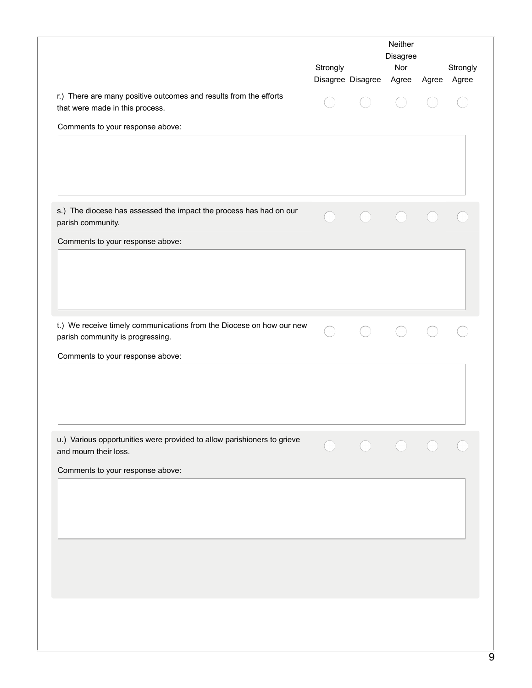| r.) There are many positive outcomes and results from the efforts<br>that were made in this process.<br>Comments to your response above:<br>s.) The diocese has assessed the impact the process has had on our<br>parish community.<br>Comments to your response above:<br>t.) We receive timely communications from the Diocese on how our new<br>parish community is progressing.<br>Comments to your response above: |  |  |  |
|-------------------------------------------------------------------------------------------------------------------------------------------------------------------------------------------------------------------------------------------------------------------------------------------------------------------------------------------------------------------------------------------------------------------------|--|--|--|
|                                                                                                                                                                                                                                                                                                                                                                                                                         |  |  |  |
|                                                                                                                                                                                                                                                                                                                                                                                                                         |  |  |  |
|                                                                                                                                                                                                                                                                                                                                                                                                                         |  |  |  |
|                                                                                                                                                                                                                                                                                                                                                                                                                         |  |  |  |
|                                                                                                                                                                                                                                                                                                                                                                                                                         |  |  |  |
|                                                                                                                                                                                                                                                                                                                                                                                                                         |  |  |  |
|                                                                                                                                                                                                                                                                                                                                                                                                                         |  |  |  |
|                                                                                                                                                                                                                                                                                                                                                                                                                         |  |  |  |
|                                                                                                                                                                                                                                                                                                                                                                                                                         |  |  |  |
| u.) Various opportunities were provided to allow parishioners to grieve<br>and mourn their loss.                                                                                                                                                                                                                                                                                                                        |  |  |  |
| Comments to your response above:                                                                                                                                                                                                                                                                                                                                                                                        |  |  |  |
|                                                                                                                                                                                                                                                                                                                                                                                                                         |  |  |  |
|                                                                                                                                                                                                                                                                                                                                                                                                                         |  |  |  |
|                                                                                                                                                                                                                                                                                                                                                                                                                         |  |  |  |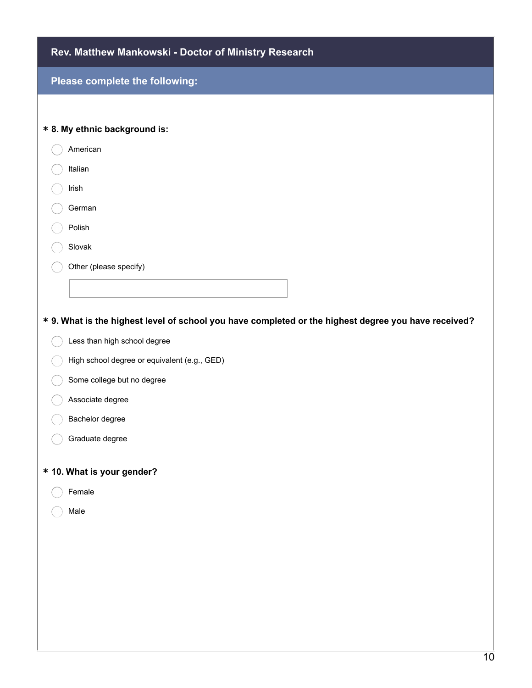| Rev. Matthew Mankowski - Doctor of Ministry Research                                                 |
|------------------------------------------------------------------------------------------------------|
| Please complete the following:                                                                       |
|                                                                                                      |
| * 8. My ethnic background is:                                                                        |
| American                                                                                             |
| Italian                                                                                              |
| Irish                                                                                                |
| German                                                                                               |
| Polish                                                                                               |
| Slovak                                                                                               |
| Other (please specify)                                                                               |
|                                                                                                      |
|                                                                                                      |
| * 9. What is the highest level of school you have completed or the highest degree you have received? |
| Less than high school degree                                                                         |
| High school degree or equivalent (e.g., GED)                                                         |
| Some college but no degree                                                                           |
| Associate degree                                                                                     |
| Bachelor degree                                                                                      |
| Graduate degree                                                                                      |
| * 10. What is your gender?                                                                           |
| Female                                                                                               |
| Male                                                                                                 |
|                                                                                                      |
|                                                                                                      |
|                                                                                                      |
|                                                                                                      |
|                                                                                                      |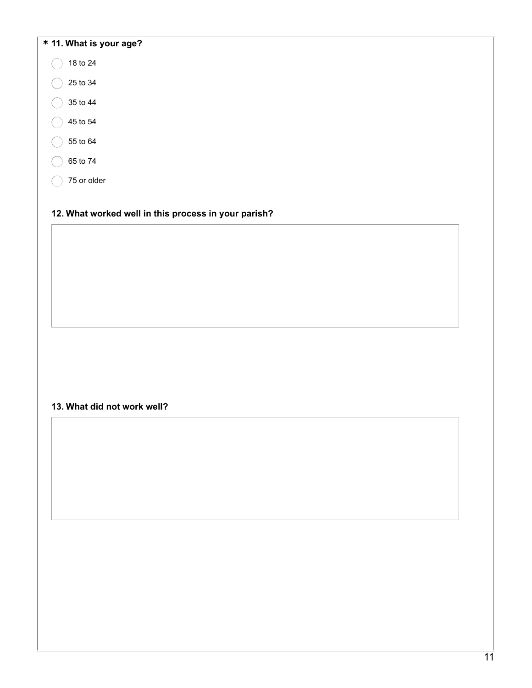| 18 to 24                                             |  |  |
|------------------------------------------------------|--|--|
|                                                      |  |  |
| 25 to 34                                             |  |  |
| 35 to 44                                             |  |  |
| 45 to 54                                             |  |  |
| 55 to 64                                             |  |  |
| 65 to 74                                             |  |  |
| 75 or older                                          |  |  |
|                                                      |  |  |
| 12. What worked well in this process in your parish? |  |  |
|                                                      |  |  |
|                                                      |  |  |
|                                                      |  |  |
|                                                      |  |  |
|                                                      |  |  |
|                                                      |  |  |
|                                                      |  |  |
|                                                      |  |  |
|                                                      |  |  |
| 13. What did not work well?                          |  |  |
|                                                      |  |  |
|                                                      |  |  |
|                                                      |  |  |
|                                                      |  |  |
|                                                      |  |  |
|                                                      |  |  |
|                                                      |  |  |
|                                                      |  |  |